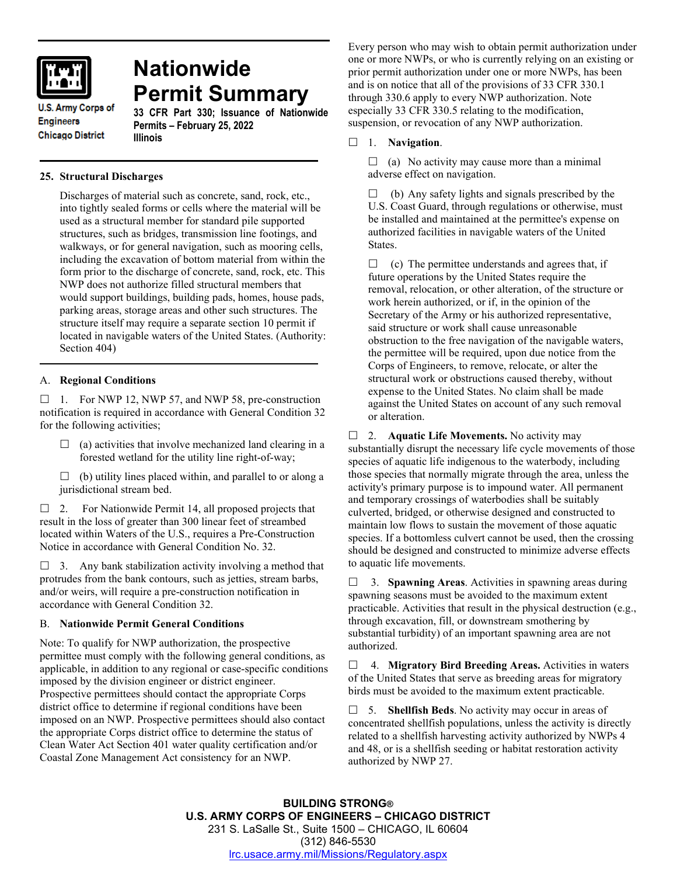

# **Nationwide Permit Summary**

**U.S. Army Corps of Engineers Chicago District** 

# **33 CFR Part 330; Issuance of Nationwide Permits – February 25, 2022 Illinois**

# **25. Structural Discharges**

Discharges of material such as concrete, sand, rock, etc., into tightly sealed forms or cells where the material will be used as a structural member for standard pile supported structures, such as bridges, transmission line footings, and walkways, or for general navigation, such as mooring cells, including the excavation of bottom material from within the form prior to the discharge of concrete, sand, rock, etc. This NWP does not authorize filled structural members that would support buildings, building pads, homes, house pads, parking areas, storage areas and other such structures. The structure itself may require a separate section 10 permit if located in navigable waters of the United States. (Authority: Section 404)

# A. **Regional Conditions**

 $\Box$  1. For NWP 12, NWP 57, and NWP 58, pre-construction notification is required in accordance with General Condition 32 for the following activities;

- $\Box$  (a) activities that involve mechanized land clearing in a forested wetland for the utility line right-of-way;
- $\Box$  (b) utility lines placed within, and parallel to or along a jurisdictional stream bed.

 $\Box$  2. For Nationwide Permit 14, all proposed projects that result in the loss of greater than 300 linear feet of streambed located within Waters of the U.S., requires a Pre-Construction Notice in accordance with General Condition No. 32.

 $\Box$  3. Any bank stabilization activity involving a method that protrudes from the bank contours, such as jetties, stream barbs, and/or weirs, will require a pre-construction notification in accordance with General Condition 32.

# B. **Nationwide Permit General Conditions**

Note: To qualify for NWP authorization, the prospective permittee must comply with the following general conditions, as applicable, in addition to any regional or case-specific conditions imposed by the division engineer or district engineer. Prospective permittees should contact the appropriate Corps district office to determine if regional conditions have been imposed on an NWP. Prospective permittees should also contact the appropriate Corps district office to determine the status of Clean Water Act Section 401 water quality certification and/or Coastal Zone Management Act consistency for an NWP.

Every person who may wish to obtain permit authorization under one or more NWPs, or who is currently relying on an existing or prior permit authorization under one or more NWPs, has been and is on notice that all of the provisions of 33 CFR 330.1 through 330.6 apply to every NWP authorization. Note especially 33 CFR 330.5 relating to the modification, suspension, or revocation of any NWP authorization.

# 1. **Navigation**.

 $\Box$  (a) No activity may cause more than a minimal adverse effect on navigation.

 $\Box$  (b) Any safety lights and signals prescribed by the U.S. Coast Guard, through regulations or otherwise, must be installed and maintained at the permittee's expense on authorized facilities in navigable waters of the United States.

 $\Box$  (c) The permittee understands and agrees that, if future operations by the United States require the removal, relocation, or other alteration, of the structure or work herein authorized, or if, in the opinion of the Secretary of the Army or his authorized representative, said structure or work shall cause unreasonable obstruction to the free navigation of the navigable waters, the permittee will be required, upon due notice from the Corps of Engineers, to remove, relocate, or alter the structural work or obstructions caused thereby, without expense to the United States. No claim shall be made against the United States on account of any such removal or alteration.

□ 2. **Aquatic Life Movements.** No activity may substantially disrupt the necessary life cycle movements of those species of aquatic life indigenous to the waterbody, including those species that normally migrate through the area, unless the activity's primary purpose is to impound water. All permanent and temporary crossings of waterbodies shall be suitably culverted, bridged, or otherwise designed and constructed to maintain low flows to sustain the movement of those aquatic species. If a bottomless culvert cannot be used, then the crossing should be designed and constructed to minimize adverse effects to aquatic life movements.

 3. **Spawning Areas**. Activities in spawning areas during spawning seasons must be avoided to the maximum extent practicable. Activities that result in the physical destruction (e.g., through excavation, fill, or downstream smothering by substantial turbidity) of an important spawning area are not authorized.

 4. **Migratory Bird Breeding Areas.** Activities in waters of the United States that serve as breeding areas for migratory birds must be avoided to the maximum extent practicable.

 5. **Shellfish Beds**. No activity may occur in areas of concentrated shellfish populations, unless the activity is directly related to a shellfish harvesting activity authorized by NWPs 4 and 48, or is a shellfish seeding or habitat restoration activity authorized by NWP 27.

**BUILDING STRONG® U.S. ARMY CORPS OF ENGINEERS – CHICAGO DISTRICT** 231 S. LaSalle St., Suite 1500 – CHICAGO, IL 60604 (312) 846-5530 [lrc.usace.army.mil/Missions/Regulatory.aspx](https://www.lrc.usace.army.mil/Missions/Regulatory.aspx)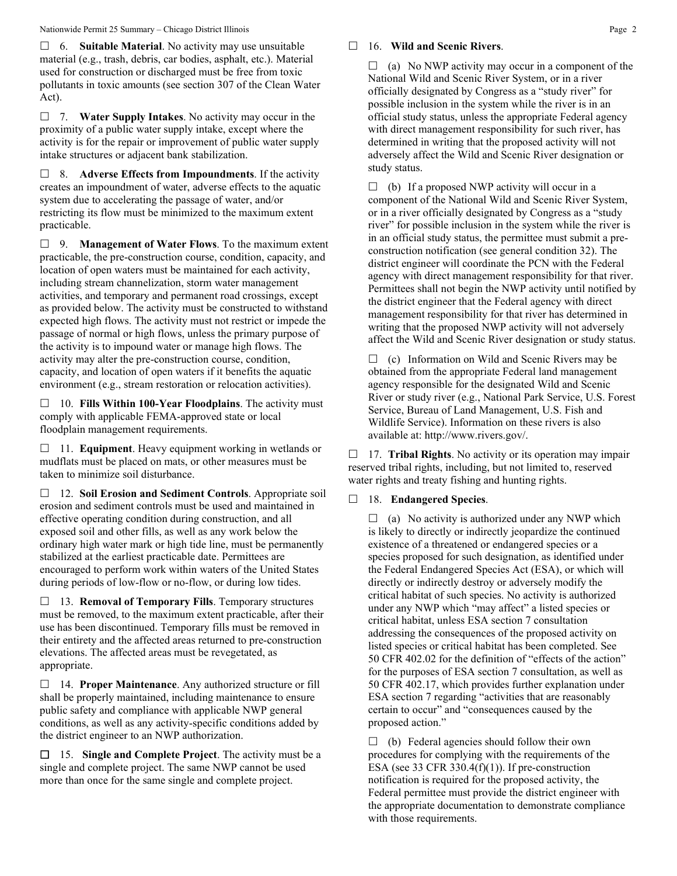6. **Suitable Material**. No activity may use unsuitable material (e.g., trash, debris, car bodies, asphalt, etc.). Material used for construction or discharged must be free from toxic pollutants in toxic amounts (see section 307 of the Clean Water Act).

 7. **Water Supply Intakes**. No activity may occur in the proximity of a public water supply intake, except where the activity is for the repair or improvement of public water supply intake structures or adjacent bank stabilization.

 8. **Adverse Effects from Impoundments**. If the activity creates an impoundment of water, adverse effects to the aquatic system due to accelerating the passage of water, and/or restricting its flow must be minimized to the maximum extent practicable.

 9. **Management of Water Flows**. To the maximum extent practicable, the pre-construction course, condition, capacity, and location of open waters must be maintained for each activity, including stream channelization, storm water management activities, and temporary and permanent road crossings, except as provided below. The activity must be constructed to withstand expected high flows. The activity must not restrict or impede the passage of normal or high flows, unless the primary purpose of the activity is to impound water or manage high flows. The activity may alter the pre-construction course, condition, capacity, and location of open waters if it benefits the aquatic environment (e.g., stream restoration or relocation activities).

 10. **Fills Within 100-Year Floodplains**. The activity must comply with applicable FEMA-approved state or local floodplain management requirements.

□ 11. **Equipment**. Heavy equipment working in wetlands or mudflats must be placed on mats, or other measures must be taken to minimize soil disturbance.

 12. **Soil Erosion and Sediment Controls**. Appropriate soil erosion and sediment controls must be used and maintained in effective operating condition during construction, and all exposed soil and other fills, as well as any work below the ordinary high water mark or high tide line, must be permanently stabilized at the earliest practicable date. Permittees are encouraged to perform work within waters of the United States during periods of low-flow or no-flow, or during low tides.

 13. **Removal of Temporary Fills**. Temporary structures must be removed, to the maximum extent practicable, after their use has been discontinued. Temporary fills must be removed in their entirety and the affected areas returned to pre-construction elevations. The affected areas must be revegetated, as appropriate.

 14. **Proper Maintenance**. Any authorized structure or fill shall be properly maintained, including maintenance to ensure public safety and compliance with applicable NWP general conditions, as well as any activity-specific conditions added by the district engineer to an NWP authorization.

 15. **Single and Complete Project**. The activity must be a single and complete project. The same NWP cannot be used more than once for the same single and complete project.

# 16. **Wild and Scenic Rivers**.

 $\Box$  (a) No NWP activity may occur in a component of the National Wild and Scenic River System, or in a river officially designated by Congress as a "study river" for possible inclusion in the system while the river is in an official study status, unless the appropriate Federal agency with direct management responsibility for such river, has determined in writing that the proposed activity will not adversely affect the Wild and Scenic River designation or study status.

 $\Box$  (b) If a proposed NWP activity will occur in a component of the National Wild and Scenic River System, or in a river officially designated by Congress as a "study river" for possible inclusion in the system while the river is in an official study status, the permittee must submit a preconstruction notification (see general condition 32). The district engineer will coordinate the PCN with the Federal agency with direct management responsibility for that river. Permittees shall not begin the NWP activity until notified by the district engineer that the Federal agency with direct management responsibility for that river has determined in writing that the proposed NWP activity will not adversely affect the Wild and Scenic River designation or study status.

 $\Box$  (c) Information on Wild and Scenic Rivers may be obtained from the appropriate Federal land management agency responsible for the designated Wild and Scenic River or study river (e.g., National Park Service, U.S. Forest Service, Bureau of Land Management, U.S. Fish and Wildlife Service). Information on these rivers is also available at: http://www.rivers.gov/.

□ 17. **Tribal Rights**. No activity or its operation may impair reserved tribal rights, including, but not limited to, reserved water rights and treaty fishing and hunting rights.

# 18. **Endangered Species**.

 $\Box$  (a) No activity is authorized under any NWP which is likely to directly or indirectly jeopardize the continued existence of a threatened or endangered species or a species proposed for such designation, as identified under the Federal Endangered Species Act (ESA), or which will directly or indirectly destroy or adversely modify the critical habitat of such species. No activity is authorized under any NWP which "may affect" a listed species or critical habitat, unless ESA section 7 consultation addressing the consequences of the proposed activity on listed species or critical habitat has been completed. See 50 CFR 402.02 for the definition of "effects of the action" for the purposes of ESA section 7 consultation, as well as 50 CFR 402.17, which provides further explanation under ESA section 7 regarding "activities that are reasonably certain to occur" and "consequences caused by the proposed action."

 $\Box$  (b) Federal agencies should follow their own procedures for complying with the requirements of the ESA (see 33 CFR 330.4 $(f)(1)$ ). If pre-construction notification is required for the proposed activity, the Federal permittee must provide the district engineer with the appropriate documentation to demonstrate compliance with those requirements.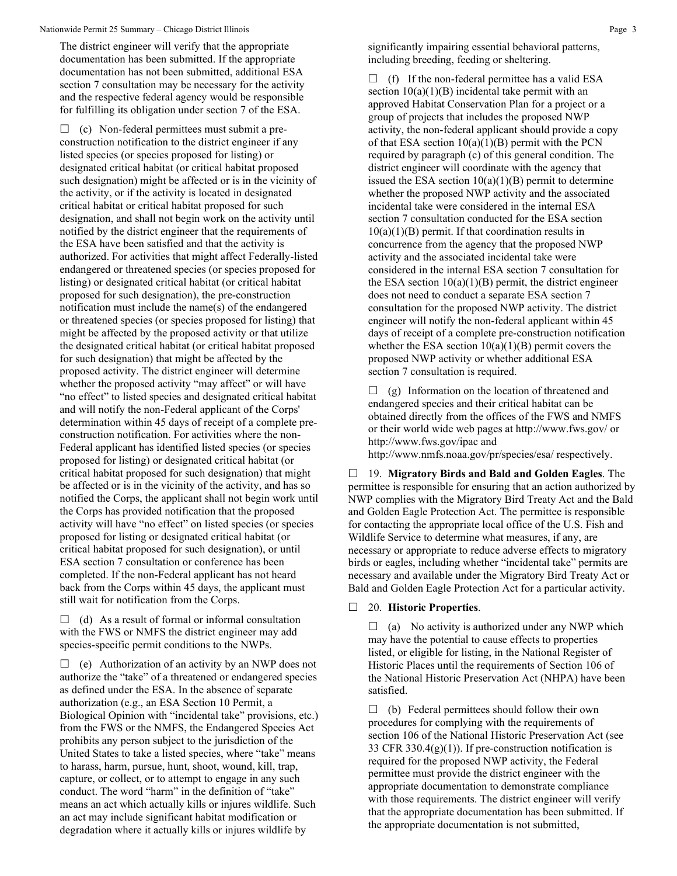The district engineer will verify that the appropriate documentation has been submitted. If the appropriate documentation has not been submitted, additional ESA section 7 consultation may be necessary for the activity and the respective federal agency would be responsible for fulfilling its obligation under section 7 of the ESA.

 $\Box$  (c) Non-federal permittees must submit a preconstruction notification to the district engineer if any listed species (or species proposed for listing) or designated critical habitat (or critical habitat proposed such designation) might be affected or is in the vicinity of the activity, or if the activity is located in designated critical habitat or critical habitat proposed for such designation, and shall not begin work on the activity until notified by the district engineer that the requirements of the ESA have been satisfied and that the activity is authorized. For activities that might affect Federally-listed endangered or threatened species (or species proposed for listing) or designated critical habitat (or critical habitat proposed for such designation), the pre-construction notification must include the name(s) of the endangered or threatened species (or species proposed for listing) that might be affected by the proposed activity or that utilize the designated critical habitat (or critical habitat proposed for such designation) that might be affected by the proposed activity. The district engineer will determine whether the proposed activity "may affect" or will have "no effect" to listed species and designated critical habitat and will notify the non-Federal applicant of the Corps' determination within 45 days of receipt of a complete preconstruction notification. For activities where the non-Federal applicant has identified listed species (or species proposed for listing) or designated critical habitat (or critical habitat proposed for such designation) that might be affected or is in the vicinity of the activity, and has so notified the Corps, the applicant shall not begin work until the Corps has provided notification that the proposed activity will have "no effect" on listed species (or species proposed for listing or designated critical habitat (or critical habitat proposed for such designation), or until ESA section 7 consultation or conference has been completed. If the non-Federal applicant has not heard back from the Corps within 45 days, the applicant must still wait for notification from the Corps.

 $\Box$  (d) As a result of formal or informal consultation with the FWS or NMFS the district engineer may add species-specific permit conditions to the NWPs.

 $\Box$  (e) Authorization of an activity by an NWP does not authorize the "take" of a threatened or endangered species as defined under the ESA. In the absence of separate authorization (e.g., an ESA Section 10 Permit, a Biological Opinion with "incidental take" provisions, etc.) from the FWS or the NMFS, the Endangered Species Act prohibits any person subject to the jurisdiction of the United States to take a listed species, where "take" means to harass, harm, pursue, hunt, shoot, wound, kill, trap, capture, or collect, or to attempt to engage in any such conduct. The word "harm" in the definition of "take" means an act which actually kills or injures wildlife. Such an act may include significant habitat modification or degradation where it actually kills or injures wildlife by

significantly impairing essential behavioral patterns, including breeding, feeding or sheltering.

 $\Box$  (f) If the non-federal permittee has a valid ESA section  $10(a)(1)(B)$  incidental take permit with an approved Habitat Conservation Plan for a project or a group of projects that includes the proposed NWP activity, the non-federal applicant should provide a copy of that ESA section  $10(a)(1)(B)$  permit with the PCN required by paragraph (c) of this general condition. The district engineer will coordinate with the agency that issued the ESA section  $10(a)(1)(B)$  permit to determine whether the proposed NWP activity and the associated incidental take were considered in the internal ESA section 7 consultation conducted for the ESA section  $10(a)(1)(B)$  permit. If that coordination results in concurrence from the agency that the proposed NWP activity and the associated incidental take were considered in the internal ESA section 7 consultation for the ESA section  $10(a)(1)(B)$  permit, the district engineer does not need to conduct a separate ESA section 7 consultation for the proposed NWP activity. The district engineer will notify the non-federal applicant within 45 days of receipt of a complete pre-construction notification whether the ESA section  $10(a)(1)(B)$  permit covers the proposed NWP activity or whether additional ESA section 7 consultation is required.

 $\Box$  (g) Information on the location of threatened and endangered species and their critical habitat can be obtained directly from the offices of the FWS and NMFS or their world wide web pages at http://www.fws.gov/ or http://www.fws.gov/ipac and http://www.nmfs.noaa.gov/pr/species/esa/ respectively.

 19. **Migratory Birds and Bald and Golden Eagles**. The permittee is responsible for ensuring that an action authorized by NWP complies with the Migratory Bird Treaty Act and the Bald and Golden Eagle Protection Act. The permittee is responsible for contacting the appropriate local office of the U.S. Fish and Wildlife Service to determine what measures, if any, are necessary or appropriate to reduce adverse effects to migratory birds or eagles, including whether "incidental take" permits are necessary and available under the Migratory Bird Treaty Act or Bald and Golden Eagle Protection Act for a particular activity.

#### 20. **Historic Properties**.

 $\Box$  (a) No activity is authorized under any NWP which may have the potential to cause effects to properties listed, or eligible for listing, in the National Register of Historic Places until the requirements of Section 106 of the National Historic Preservation Act (NHPA) have been satisfied.

 $\Box$  (b) Federal permittees should follow their own procedures for complying with the requirements of section 106 of the National Historic Preservation Act (see 33 CFR 330.4(g)(1)). If pre-construction notification is required for the proposed NWP activity, the Federal permittee must provide the district engineer with the appropriate documentation to demonstrate compliance with those requirements. The district engineer will verify that the appropriate documentation has been submitted. If the appropriate documentation is not submitted,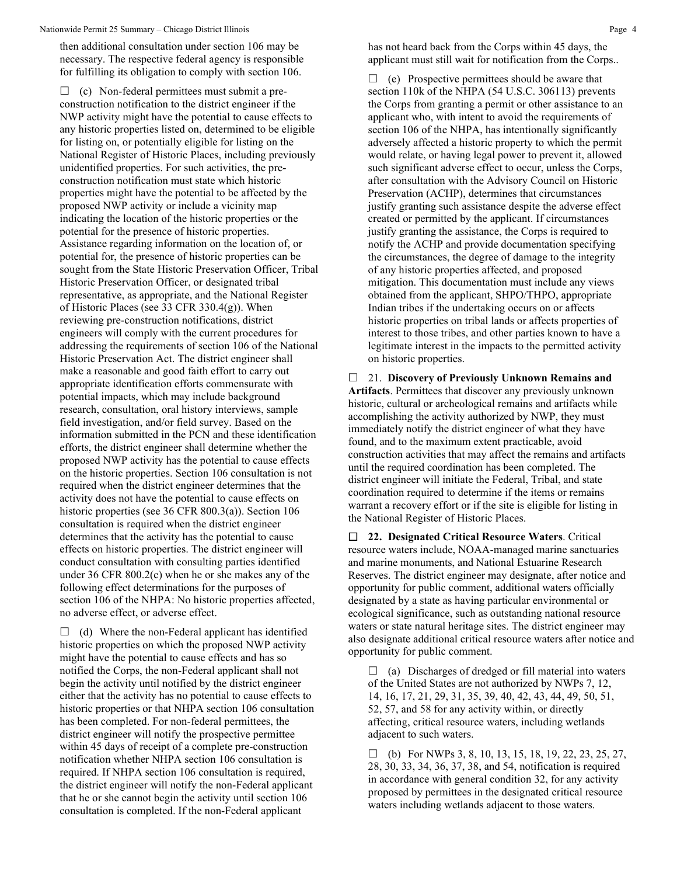then additional consultation under section 106 may be necessary. The respective federal agency is responsible for fulfilling its obligation to comply with section 106.

 $\Box$  (c) Non-federal permittees must submit a preconstruction notification to the district engineer if the NWP activity might have the potential to cause effects to any historic properties listed on, determined to be eligible for listing on, or potentially eligible for listing on the National Register of Historic Places, including previously unidentified properties. For such activities, the preconstruction notification must state which historic properties might have the potential to be affected by the proposed NWP activity or include a vicinity map indicating the location of the historic properties or the potential for the presence of historic properties. Assistance regarding information on the location of, or potential for, the presence of historic properties can be sought from the State Historic Preservation Officer, Tribal Historic Preservation Officer, or designated tribal representative, as appropriate, and the National Register of Historic Places (see 33 CFR 330.4(g)). When reviewing pre-construction notifications, district engineers will comply with the current procedures for addressing the requirements of section 106 of the National Historic Preservation Act. The district engineer shall make a reasonable and good faith effort to carry out appropriate identification efforts commensurate with potential impacts, which may include background research, consultation, oral history interviews, sample field investigation, and/or field survey. Based on the information submitted in the PCN and these identification efforts, the district engineer shall determine whether the proposed NWP activity has the potential to cause effects on the historic properties. Section 106 consultation is not required when the district engineer determines that the activity does not have the potential to cause effects on historic properties (see 36 CFR 800.3(a)). Section 106 consultation is required when the district engineer determines that the activity has the potential to cause effects on historic properties. The district engineer will conduct consultation with consulting parties identified under 36 CFR 800.2(c) when he or she makes any of the following effect determinations for the purposes of section 106 of the NHPA: No historic properties affected, no adverse effect, or adverse effect.

 $\Box$  (d) Where the non-Federal applicant has identified historic properties on which the proposed NWP activity might have the potential to cause effects and has so notified the Corps, the non-Federal applicant shall not begin the activity until notified by the district engineer either that the activity has no potential to cause effects to historic properties or that NHPA section 106 consultation has been completed. For non-federal permittees, the district engineer will notify the prospective permittee within 45 days of receipt of a complete pre-construction notification whether NHPA section 106 consultation is required. If NHPA section 106 consultation is required, the district engineer will notify the non-Federal applicant that he or she cannot begin the activity until section 106 consultation is completed. If the non-Federal applicant

has not heard back from the Corps within 45 days, the applicant must still wait for notification from the Corps..

 $\Box$  (e) Prospective permittees should be aware that section 110k of the NHPA (54 U.S.C. 306113) prevents the Corps from granting a permit or other assistance to an applicant who, with intent to avoid the requirements of section 106 of the NHPA, has intentionally significantly adversely affected a historic property to which the permit would relate, or having legal power to prevent it, allowed such significant adverse effect to occur, unless the Corps, after consultation with the Advisory Council on Historic Preservation (ACHP), determines that circumstances justify granting such assistance despite the adverse effect created or permitted by the applicant. If circumstances justify granting the assistance, the Corps is required to notify the ACHP and provide documentation specifying the circumstances, the degree of damage to the integrity of any historic properties affected, and proposed mitigation. This documentation must include any views obtained from the applicant, SHPO/THPO, appropriate Indian tribes if the undertaking occurs on or affects historic properties on tribal lands or affects properties of interest to those tribes, and other parties known to have a legitimate interest in the impacts to the permitted activity on historic properties.

 21. **Discovery of Previously Unknown Remains and Artifacts**. Permittees that discover any previously unknown historic, cultural or archeological remains and artifacts while accomplishing the activity authorized by NWP, they must immediately notify the district engineer of what they have found, and to the maximum extent practicable, avoid construction activities that may affect the remains and artifacts until the required coordination has been completed. The district engineer will initiate the Federal, Tribal, and state coordination required to determine if the items or remains warrant a recovery effort or if the site is eligible for listing in the National Register of Historic Places.

 **22. Designated Critical Resource Waters**. Critical resource waters include, NOAA-managed marine sanctuaries and marine monuments, and National Estuarine Research Reserves. The district engineer may designate, after notice and opportunity for public comment, additional waters officially designated by a state as having particular environmental or ecological significance, such as outstanding national resource waters or state natural heritage sites. The district engineer may also designate additional critical resource waters after notice and opportunity for public comment.

 $\Box$  (a) Discharges of dredged or fill material into waters of the United States are not authorized by NWPs 7, 12, 14, 16, 17, 21, 29, 31, 35, 39, 40, 42, 43, 44, 49, 50, 51, 52, 57, and 58 for any activity within, or directly affecting, critical resource waters, including wetlands adjacent to such waters.

 $\Box$  (b) For NWPs 3, 8, 10, 13, 15, 18, 19, 22, 23, 25, 27, 28, 30, 33, 34, 36, 37, 38, and 54, notification is required in accordance with general condition 32, for any activity proposed by permittees in the designated critical resource waters including wetlands adjacent to those waters.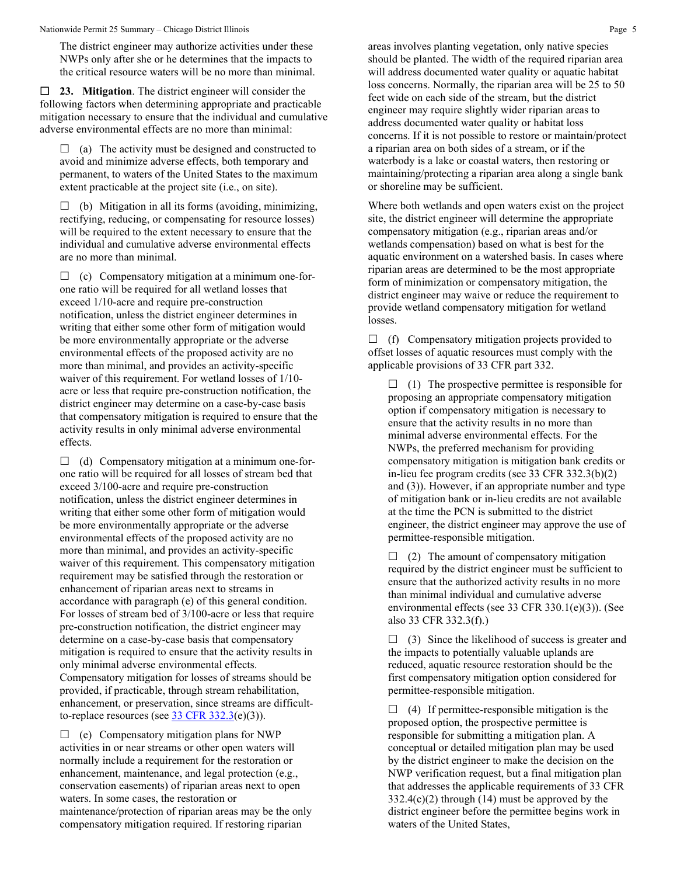The district engineer may authorize activities under these NWPs only after she or he determines that the impacts to the critical resource waters will be no more than minimal.

 **23. Mitigation**. The district engineer will consider the following factors when determining appropriate and practicable mitigation necessary to ensure that the individual and cumulative adverse environmental effects are no more than minimal:

 $\Box$  (a) The activity must be designed and constructed to avoid and minimize adverse effects, both temporary and permanent, to waters of the United States to the maximum extent practicable at the project site (i.e., on site).

 $\Box$  (b) Mitigation in all its forms (avoiding, minimizing, rectifying, reducing, or compensating for resource losses) will be required to the extent necessary to ensure that the individual and cumulative adverse environmental effects are no more than minimal.

 $\Box$  (c) Compensatory mitigation at a minimum one-forone ratio will be required for all wetland losses that exceed 1/10-acre and require pre-construction notification, unless the district engineer determines in writing that either some other form of mitigation would be more environmentally appropriate or the adverse environmental effects of the proposed activity are no more than minimal, and provides an activity-specific waiver of this requirement. For wetland losses of 1/10 acre or less that require pre-construction notification, the district engineer may determine on a case-by-case basis that compensatory mitigation is required to ensure that the activity results in only minimal adverse environmental effects.

 $\Box$  (d) Compensatory mitigation at a minimum one-forone ratio will be required for all losses of stream bed that exceed 3/100-acre and require pre-construction notification, unless the district engineer determines in writing that either some other form of mitigation would be more environmentally appropriate or the adverse environmental effects of the proposed activity are no more than minimal, and provides an activity-specific waiver of this requirement. This compensatory mitigation requirement may be satisfied through the restoration or enhancement of riparian areas next to streams in accordance with paragraph (e) of this general condition. For losses of stream bed of 3/100-acre or less that require pre-construction notification, the district engineer may determine on a case-by-case basis that compensatory mitigation is required to ensure that the activity results in only minimal adverse environmental effects. Compensatory mitigation for losses of streams should be provided, if practicable, through stream rehabilitation, enhancement, or preservation, since streams are difficultto-replace resources (see  $33 \text{ CFR } 332.3(e)(3)$ ).

 $\Box$  (e) Compensatory mitigation plans for NWP activities in or near streams or other open waters will normally include a requirement for the restoration or enhancement, maintenance, and legal protection (e.g., conservation easements) of riparian areas next to open waters. In some cases, the restoration or maintenance/protection of riparian areas may be the only compensatory mitigation required. If restoring riparian

areas involves planting vegetation, only native species should be planted. The width of the required riparian area will address documented water quality or aquatic habitat loss concerns. Normally, the riparian area will be 25 to 50 feet wide on each side of the stream, but the district engineer may require slightly wider riparian areas to address documented water quality or habitat loss concerns. If it is not possible to restore or maintain/protect a riparian area on both sides of a stream, or if the waterbody is a lake or coastal waters, then restoring or maintaining/protecting a riparian area along a single bank or shoreline may be sufficient.

Where both wetlands and open waters exist on the project site, the district engineer will determine the appropriate compensatory mitigation (e.g., riparian areas and/or wetlands compensation) based on what is best for the aquatic environment on a watershed basis. In cases where riparian areas are determined to be the most appropriate form of minimization or compensatory mitigation, the district engineer may waive or reduce the requirement to provide wetland compensatory mitigation for wetland losses.

 $\Box$  (f) Compensatory mitigation projects provided to offset losses of aquatic resources must comply with the applicable provisions of 33 CFR part 332.

 $\Box$  (1) The prospective permittee is responsible for proposing an appropriate compensatory mitigation option if compensatory mitigation is necessary to ensure that the activity results in no more than minimal adverse environmental effects. For the NWPs, the preferred mechanism for providing compensatory mitigation is mitigation bank credits or in-lieu fee program credits (see 33 CFR 332.3(b)(2) and (3)). However, if an appropriate number and type of mitigation bank or in-lieu credits are not available at the time the PCN is submitted to the district engineer, the district engineer may approve the use of permittee-responsible mitigation.

 $\Box$  (2) The amount of compensatory mitigation required by the district engineer must be sufficient to ensure that the authorized activity results in no more than minimal individual and cumulative adverse environmental effects (see 33 CFR 330.1(e)(3)). (See also 33 CFR 332.3(f).)

 $\Box$  (3) Since the likelihood of success is greater and the impacts to potentially valuable uplands are reduced, aquatic resource restoration should be the first compensatory mitigation option considered for permittee-responsible mitigation.

 $\Box$  (4) If permittee-responsible mitigation is the proposed option, the prospective permittee is responsible for submitting a mitigation plan. A conceptual or detailed mitigation plan may be used by the district engineer to make the decision on the NWP verification request, but a final mitigation plan that addresses the applicable requirements of 33 CFR  $332.4(c)(2)$  through (14) must be approved by the district engineer before the permittee begins work in waters of the United States,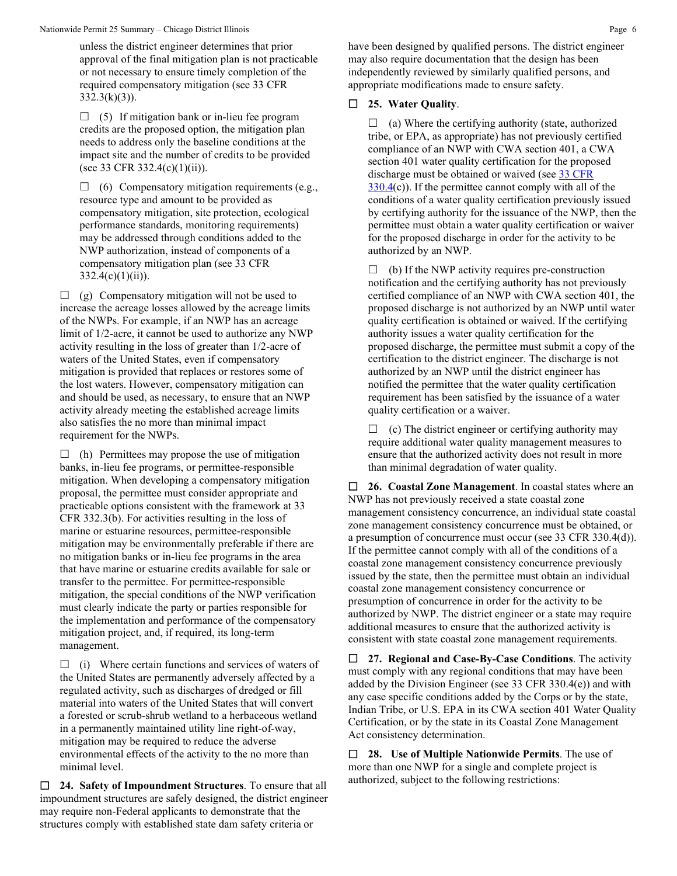unless the district engineer determines that prior approval of the final mitigation plan is not practicable or not necessary to ensure timely completion of the required compensatory mitigation (see 33 CFR  $332.3(k)(3)$ ).

 $\Box$  (5) If mitigation bank or in-lieu fee program credits are the proposed option, the mitigation plan needs to address only the baseline conditions at the impact site and the number of credits to be provided (see 33 CFR 332.4(c)(1)(ii)).

 $\Box$  (6) Compensatory mitigation requirements (e.g., resource type and amount to be provided as compensatory mitigation, site protection, ecological performance standards, monitoring requirements) may be addressed through conditions added to the NWP authorization, instead of components of a compensatory mitigation plan (see 33 CFR  $332.4(c)(1)(ii)$ .

 $\Box$  (g) Compensatory mitigation will not be used to increase the acreage losses allowed by the acreage limits of the NWPs. For example, if an NWP has an acreage limit of 1/2-acre, it cannot be used to authorize any NWP activity resulting in the loss of greater than 1/2-acre of waters of the United States, even if compensatory mitigation is provided that replaces or restores some of the lost waters. However, compensatory mitigation can and should be used, as necessary, to ensure that an NWP activity already meeting the established acreage limits also satisfies the no more than minimal impact requirement for the NWPs.

 $\Box$  (h) Permittees may propose the use of mitigation banks, in-lieu fee programs, or permittee-responsible mitigation. When developing a compensatory mitigation proposal, the permittee must consider appropriate and practicable options consistent with the framework at 33 CFR 332.3(b). For activities resulting in the loss of marine or estuarine resources, permittee-responsible mitigation may be environmentally preferable if there are no mitigation banks or in-lieu fee programs in the area that have marine or estuarine credits available for sale or transfer to the permittee. For permittee-responsible mitigation, the special conditions of the NWP verification must clearly indicate the party or parties responsible for the implementation and performance of the compensatory mitigation project, and, if required, its long-term management.

 $\Box$  (i) Where certain functions and services of waters of the United States are permanently adversely affected by a regulated activity, such as discharges of dredged or fill material into waters of the United States that will convert a forested or scrub-shrub wetland to a herbaceous wetland in a permanently maintained utility line right-of-way, mitigation may be required to reduce the adverse environmental effects of the activity to the no more than minimal level.

 **24. Safety of Impoundment Structures**. To ensure that all impoundment structures are safely designed, the district engineer may require non-Federal applicants to demonstrate that the structures comply with established state dam safety criteria or

have been designed by qualified persons. The district engineer may also require documentation that the design has been independently reviewed by similarly qualified persons, and appropriate modifications made to ensure safety.

# **25. Water Quality**.

 $\Box$  (a) Where the certifying authority (state, authorized tribe, or EPA, as appropriate) has not previously certified compliance of an NWP with CWA section 401, a CWA section 401 water quality certification for the proposed discharge must be obtained or waived (see [33 CFR](https://www.federalregister.gov/select-citation/2021/01/13/33-CFR-330.4)  [330.4\(](https://www.federalregister.gov/select-citation/2021/01/13/33-CFR-330.4)c)). If the permittee cannot comply with all of the conditions of a water quality certification previously issued by certifying authority for the issuance of the NWP, then the permittee must obtain a water quality certification or waiver for the proposed discharge in order for the activity to be authorized by an NWP.

 $\Box$  (b) If the NWP activity requires pre-construction notification and the certifying authority has not previously certified compliance of an NWP with CWA section 401, the proposed discharge is not authorized by an NWP until water quality certification is obtained or waived. If the certifying authority issues a water quality certification for the proposed discharge, the permittee must submit a copy of the certification to the district engineer. The discharge is not authorized by an NWP until the district engineer has notified the permittee that the water quality certification requirement has been satisfied by the issuance of a water quality certification or a waiver.

 $\Box$  (c) The district engineer or certifying authority may require additional water quality management measures to ensure that the authorized activity does not result in more than minimal degradation of water quality.

 **26. Coastal Zone Management**. In coastal states where an NWP has not previously received a state coastal zone management consistency concurrence, an individual state coastal zone management consistency concurrence must be obtained, or a presumption of concurrence must occur (see 33 CFR 330.4(d)). If the permittee cannot comply with all of the conditions of a coastal zone management consistency concurrence previously issued by the state, then the permittee must obtain an individual coastal zone management consistency concurrence or presumption of concurrence in order for the activity to be authorized by NWP. The district engineer or a state may require additional measures to ensure that the authorized activity is consistent with state coastal zone management requirements.

 **27. Regional and Case-By-Case Conditions**. The activity must comply with any regional conditions that may have been added by the Division Engineer (see 33 CFR 330.4(e)) and with any case specific conditions added by the Corps or by the state, Indian Tribe, or U.S. EPA in its CWA section 401 Water Quality Certification, or by the state in its Coastal Zone Management Act consistency determination.

 **28. Use of Multiple Nationwide Permits**. The use of more than one NWP for a single and complete project is authorized, subject to the following restrictions: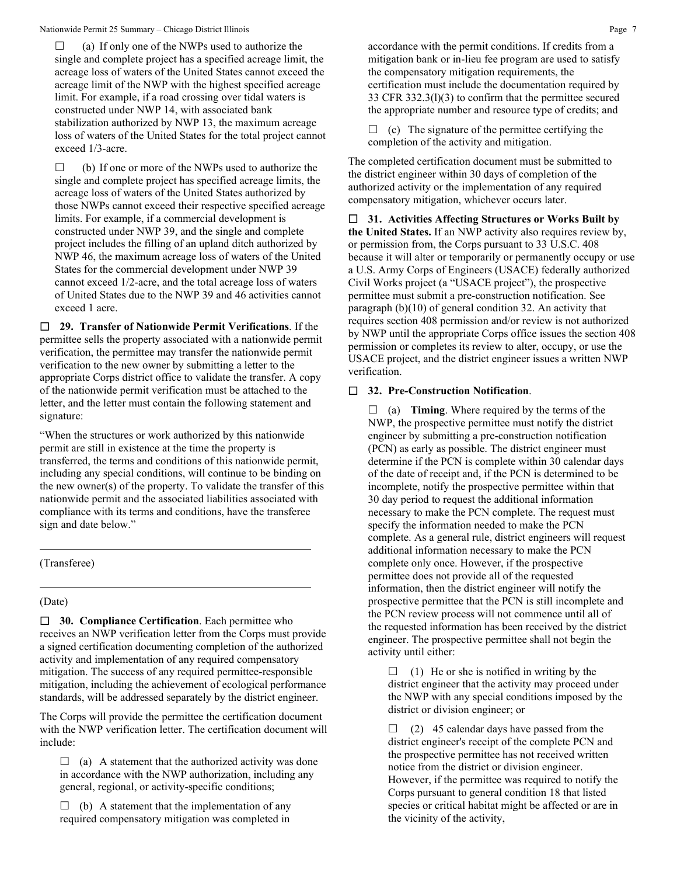$\Box$  (a) If only one of the NWPs used to authorize the single and complete project has a specified acreage limit, the acreage loss of waters of the United States cannot exceed the acreage limit of the NWP with the highest specified acreage limit. For example, if a road crossing over tidal waters is constructed under NWP 14, with associated bank stabilization authorized by NWP 13, the maximum acreage loss of waters of the United States for the total project cannot exceed 1/3-acre.

 $\Box$  (b) If one or more of the NWPs used to authorize the single and complete project has specified acreage limits, the acreage loss of waters of the United States authorized by those NWPs cannot exceed their respective specified acreage limits. For example, if a commercial development is constructed under NWP 39, and the single and complete project includes the filling of an upland ditch authorized by NWP 46, the maximum acreage loss of waters of the United States for the commercial development under NWP 39 cannot exceed 1/2-acre, and the total acreage loss of waters of United States due to the NWP 39 and 46 activities cannot exceed 1 acre.

 **29. Transfer of Nationwide Permit Verifications**. If the permittee sells the property associated with a nationwide permit verification, the permittee may transfer the nationwide permit verification to the new owner by submitting a letter to the appropriate Corps district office to validate the transfer. A copy of the nationwide permit verification must be attached to the letter, and the letter must contain the following statement and signature:

"When the structures or work authorized by this nationwide permit are still in existence at the time the property is transferred, the terms and conditions of this nationwide permit, including any special conditions, will continue to be binding on the new owner(s) of the property. To validate the transfer of this nationwide permit and the associated liabilities associated with compliance with its terms and conditions, have the transferee sign and date below."

### (Transferee)

### (Date)

 **30. Compliance Certification**. Each permittee who receives an NWP verification letter from the Corps must provide a signed certification documenting completion of the authorized activity and implementation of any required compensatory mitigation. The success of any required permittee-responsible mitigation, including the achievement of ecological performance standards, will be addressed separately by the district engineer.

The Corps will provide the permittee the certification document with the NWP verification letter. The certification document will include:

 $\Box$  (a) A statement that the authorized activity was done in accordance with the NWP authorization, including any general, regional, or activity-specific conditions;

 $\Box$  (b) A statement that the implementation of any required compensatory mitigation was completed in accordance with the permit conditions. If credits from a mitigation bank or in-lieu fee program are used to satisfy the compensatory mitigation requirements, the certification must include the documentation required by 33 CFR 332.3(l)(3) to confirm that the permittee secured the appropriate number and resource type of credits; and

 $\Box$  (c) The signature of the permittee certifying the completion of the activity and mitigation.

The completed certification document must be submitted to the district engineer within 30 days of completion of the authorized activity or the implementation of any required compensatory mitigation, whichever occurs later.

 **31. Activities Affecting Structures or Works Built by the United States.** If an NWP activity also requires review by, or permission from, the Corps pursuant to 33 U.S.C. 408 because it will alter or temporarily or permanently occupy or use a U.S. Army Corps of Engineers (USACE) federally authorized Civil Works project (a "USACE project"), the prospective permittee must submit a pre-construction notification. See paragraph (b)(10) of general condition 32. An activity that requires section 408 permission and/or review is not authorized by NWP until the appropriate Corps office issues the section 408 permission or completes its review to alter, occupy, or use the USACE project, and the district engineer issues a written NWP verification.

### **32. Pre-Construction Notification**.

 $\Box$  (a) **Timing**. Where required by the terms of the NWP, the prospective permittee must notify the district engineer by submitting a pre-construction notification (PCN) as early as possible. The district engineer must determine if the PCN is complete within 30 calendar days of the date of receipt and, if the PCN is determined to be incomplete, notify the prospective permittee within that 30 day period to request the additional information necessary to make the PCN complete. The request must specify the information needed to make the PCN complete. As a general rule, district engineers will request additional information necessary to make the PCN complete only once. However, if the prospective permittee does not provide all of the requested information, then the district engineer will notify the prospective permittee that the PCN is still incomplete and the PCN review process will not commence until all of the requested information has been received by the district engineer. The prospective permittee shall not begin the activity until either:

 $\Box$  (1) He or she is notified in writing by the district engineer that the activity may proceed under the NWP with any special conditions imposed by the district or division engineer; or

 $\Box$  (2) 45 calendar days have passed from the district engineer's receipt of the complete PCN and the prospective permittee has not received written notice from the district or division engineer. However, if the permittee was required to notify the Corps pursuant to general condition 18 that listed species or critical habitat might be affected or are in the vicinity of the activity,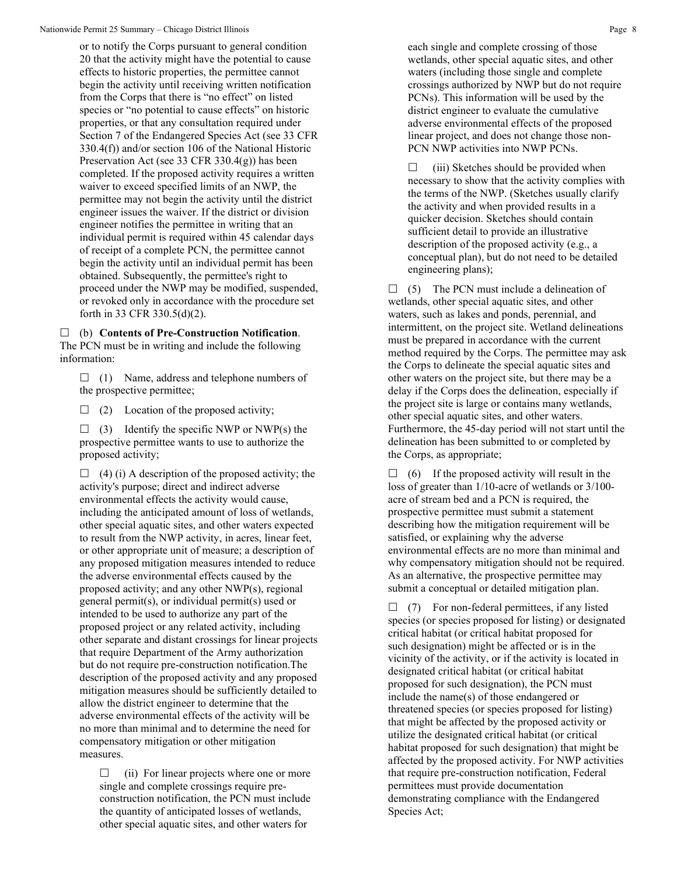or to notify the Corps pursuant to general condition 20 that the activity might have the potential to cause effects to historic properties, the permittee cannot begin the activity until receiving written notification from the Corps that there is "no effect" on listed species or "no potential to cause effects" on historic properties, or that any consultation required under Section 7 of the Endangered Species Act (see 33 CFR 330.4(f)) and/or section 106 of the National Historic Preservation Act (see 33 CFR 330.4(g)) has been completed. If the proposed activity requires a written waiver to exceed specified limits of an NWP, the permittee may not begin the activity until the district engineer issues the waiver. If the district or division engineer notifies the permittee in writing that an individual permit is required within 45 calendar days of receipt of a complete PCN, the permittee cannot begin the activity until an individual permit has been obtained. Subsequently, the permittee's right to proceed under the NWP may be modified, suspended, or revoked only in accordance with the procedure set forth in 33 CFR 330.5(d)(2).

 (b) **Contents of Pre-Construction Notification**. The PCN must be in writing and include the following information:

 $\Box$  (1) Name, address and telephone numbers of the prospective permittee;

 $\Box$  (2) Location of the proposed activity;

 $\Box$  (3) Identify the specific NWP or NWP(s) the prospective permittee wants to use to authorize the proposed activity;

 $\Box$  (4) (i) A description of the proposed activity; the activity's purpose; direct and indirect adverse environmental effects the activity would cause, including the anticipated amount of loss of wetlands, other special aquatic sites, and other waters expected to result from the NWP activity, in acres, linear feet, or other appropriate unit of measure; a description of any proposed mitigation measures intended to reduce the adverse environmental effects caused by the proposed activity; and any other NWP(s), regional general permit(s), or individual permit(s) used or intended to be used to authorize any part of the proposed project or any related activity, including other separate and distant crossings for linear projects that require Department of the Army authorization but do not require pre-construction notification.The description of the proposed activity and any proposed mitigation measures should be sufficiently detailed to allow the district engineer to determine that the adverse environmental effects of the activity will be no more than minimal and to determine the need for compensatory mitigation or other mitigation measures.

 $\Box$  (ii) For linear projects where one or more single and complete crossings require preconstruction notification, the PCN must include the quantity of anticipated losses of wetlands, other special aquatic sites, and other waters for

each single and complete crossing of those wetlands, other special aquatic sites, and other waters (including those single and complete crossings authorized by NWP but do not require PCNs). This information will be used by the district engineer to evaluate the cumulative adverse environmental effects of the proposed linear project, and does not change those non-PCN NWP activities into NWP PCNs.

 $\Box$  (iii) Sketches should be provided when necessary to show that the activity complies with the terms of the NWP. (Sketches usually clarify the activity and when provided results in a quicker decision. Sketches should contain sufficient detail to provide an illustrative description of the proposed activity (e.g., a conceptual plan), but do not need to be detailed engineering plans);

 $\Box$  (5) The PCN must include a delineation of wetlands, other special aquatic sites, and other waters, such as lakes and ponds, perennial, and intermittent, on the project site. Wetland delineations must be prepared in accordance with the current method required by the Corps. The permittee may ask the Corps to delineate the special aquatic sites and other waters on the project site, but there may be a delay if the Corps does the delineation, especially if the project site is large or contains many wetlands, other special aquatic sites, and other waters. Furthermore, the 45-day period will not start until the delineation has been submitted to or completed by the Corps, as appropriate;

 $\Box$  (6) If the proposed activity will result in the loss of greater than 1/10-acre of wetlands or 3/100 acre of stream bed and a PCN is required, the prospective permittee must submit a statement describing how the mitigation requirement will be satisfied, or explaining why the adverse environmental effects are no more than minimal and why compensatory mitigation should not be required. As an alternative, the prospective permittee may submit a conceptual or detailed mitigation plan.

 $\Box$  (7) For non-federal permittees, if any listed species (or species proposed for listing) or designated critical habitat (or critical habitat proposed for such designation) might be affected or is in the vicinity of the activity, or if the activity is located in designated critical habitat (or critical habitat proposed for such designation), the PCN must include the name(s) of those endangered or threatened species (or species proposed for listing) that might be affected by the proposed activity or utilize the designated critical habitat (or critical habitat proposed for such designation) that might be affected by the proposed activity. For NWP activities that require pre-construction notification, Federal permittees must provide documentation demonstrating compliance with the Endangered Species Act;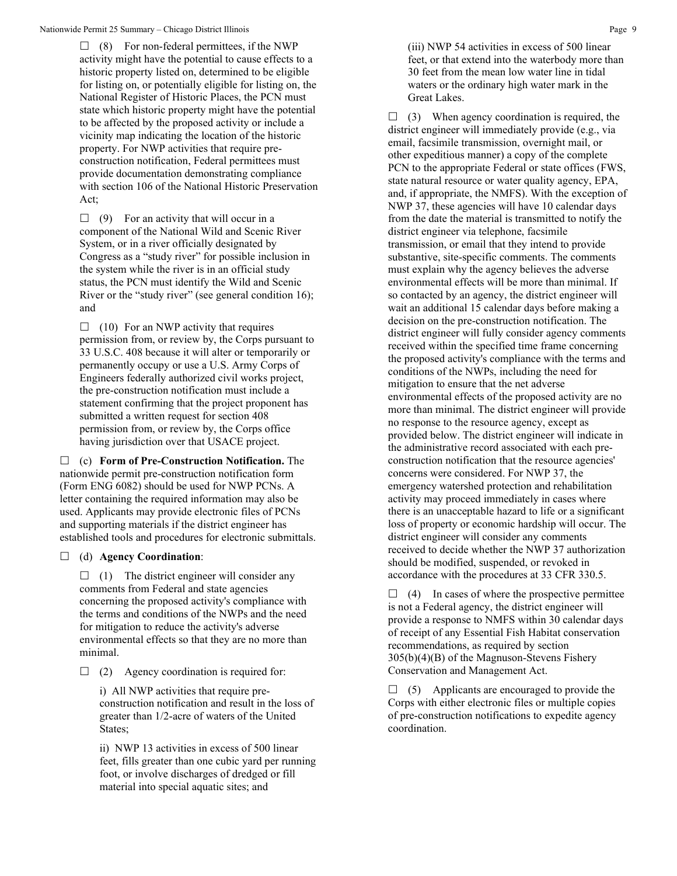$\Box$  (8) For non-federal permittees, if the NWP activity might have the potential to cause effects to a historic property listed on, determined to be eligible for listing on, or potentially eligible for listing on, the National Register of Historic Places, the PCN must state which historic property might have the potential to be affected by the proposed activity or include a vicinity map indicating the location of the historic property. For NWP activities that require preconstruction notification, Federal permittees must provide documentation demonstrating compliance with section 106 of the National Historic Preservation Act;

 $\Box$  (9) For an activity that will occur in a component of the National Wild and Scenic River System, or in a river officially designated by Congress as a "study river" for possible inclusion in the system while the river is in an official study status, the PCN must identify the Wild and Scenic River or the "study river" (see general condition 16); and

 $\Box$  (10) For an NWP activity that requires permission from, or review by, the Corps pursuant to 33 U.S.C. 408 because it will alter or temporarily or permanently occupy or use a U.S. Army Corps of Engineers federally authorized civil works project, the pre-construction notification must include a statement confirming that the project proponent has submitted a written request for section 408 permission from, or review by, the Corps office having jurisdiction over that USACE project.

 (c) **Form of Pre-Construction Notification.** The nationwide permit pre-construction notification form (Form ENG 6082) should be used for NWP PCNs. A letter containing the required information may also be used. Applicants may provide electronic files of PCNs and supporting materials if the district engineer has established tools and procedures for electronic submittals.

# (d) **Agency Coordination**:

 $\Box$  (1) The district engineer will consider any comments from Federal and state agencies concerning the proposed activity's compliance with the terms and conditions of the NWPs and the need for mitigation to reduce the activity's adverse environmental effects so that they are no more than minimal.

 $\Box$  (2) Agency coordination is required for:

i) All NWP activities that require preconstruction notification and result in the loss of greater than 1/2-acre of waters of the United States;

ii) NWP 13 activities in excess of 500 linear feet, fills greater than one cubic yard per running foot, or involve discharges of dredged or fill material into special aquatic sites; and

(iii) NWP 54 activities in excess of 500 linear feet, or that extend into the waterbody more than 30 feet from the mean low water line in tidal waters or the ordinary high water mark in the Great Lakes.

 $\Box$  (3) When agency coordination is required, the district engineer will immediately provide (e.g., via email, facsimile transmission, overnight mail, or other expeditious manner) a copy of the complete PCN to the appropriate Federal or state offices (FWS, state natural resource or water quality agency, EPA, and, if appropriate, the NMFS). With the exception of NWP 37, these agencies will have 10 calendar days from the date the material is transmitted to notify the district engineer via telephone, facsimile transmission, or email that they intend to provide substantive, site-specific comments. The comments must explain why the agency believes the adverse environmental effects will be more than minimal. If so contacted by an agency, the district engineer will wait an additional 15 calendar days before making a decision on the pre-construction notification. The district engineer will fully consider agency comments received within the specified time frame concerning the proposed activity's compliance with the terms and conditions of the NWPs, including the need for mitigation to ensure that the net adverse environmental effects of the proposed activity are no more than minimal. The district engineer will provide no response to the resource agency, except as provided below. The district engineer will indicate in the administrative record associated with each preconstruction notification that the resource agencies' concerns were considered. For NWP 37, the emergency watershed protection and rehabilitation activity may proceed immediately in cases where there is an unacceptable hazard to life or a significant loss of property or economic hardship will occur. The district engineer will consider any comments received to decide whether the NWP 37 authorization should be modified, suspended, or revoked in accordance with the procedures at 33 CFR 330.5.

 $\Box$  (4) In cases of where the prospective permittee is not a Federal agency, the district engineer will provide a response to NMFS within 30 calendar days of receipt of any Essential Fish Habitat conservation recommendations, as required by section 305(b)(4)(B) of the Magnuson-Stevens Fishery Conservation and Management Act.

 $\Box$  (5) Applicants are encouraged to provide the Corps with either electronic files or multiple copies of pre-construction notifications to expedite agency coordination.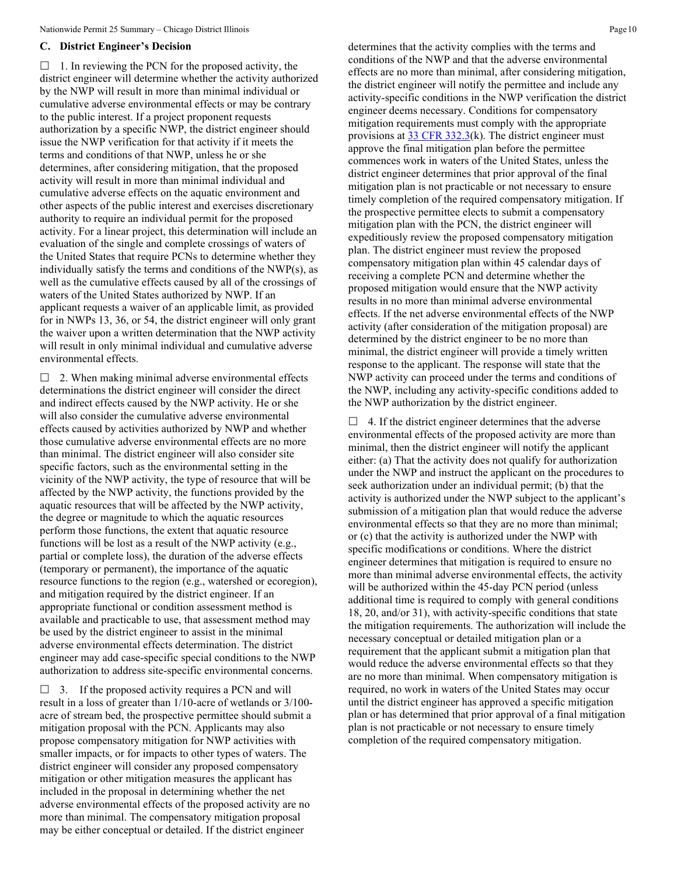#### **C. District Engineer's Decision**

 $\Box$  1. In reviewing the PCN for the proposed activity, the district engineer will determine whether the activity authorized by the NWP will result in more than minimal individual or cumulative adverse environmental effects or may be contrary to the public interest. If a project proponent requests authorization by a specific NWP, the district engineer should issue the NWP verification for that activity if it meets the terms and conditions of that NWP, unless he or she determines, after considering mitigation, that the proposed activity will result in more than minimal individual and cumulative adverse effects on the aquatic environment and other aspects of the public interest and exercises discretionary authority to require an individual permit for the proposed activity. For a linear project, this determination will include an evaluation of the single and complete crossings of waters of the United States that require PCNs to determine whether they individually satisfy the terms and conditions of the NWP(s), as well as the cumulative effects caused by all of the crossings of waters of the United States authorized by NWP. If an applicant requests a waiver of an applicable limit, as provided for in NWPs 13, 36, or 54, the district engineer will only grant the waiver upon a written determination that the NWP activity will result in only minimal individual and cumulative adverse environmental effects.

 $\Box$  2. When making minimal adverse environmental effects determinations the district engineer will consider the direct and indirect effects caused by the NWP activity. He or she will also consider the cumulative adverse environmental effects caused by activities authorized by NWP and whether those cumulative adverse environmental effects are no more than minimal. The district engineer will also consider site specific factors, such as the environmental setting in the vicinity of the NWP activity, the type of resource that will be affected by the NWP activity, the functions provided by the aquatic resources that will be affected by the NWP activity, the degree or magnitude to which the aquatic resources perform those functions, the extent that aquatic resource functions will be lost as a result of the NWP activity (e.g., partial or complete loss), the duration of the adverse effects (temporary or permanent), the importance of the aquatic resource functions to the region (e.g., watershed or ecoregion), and mitigation required by the district engineer. If an appropriate functional or condition assessment method is available and practicable to use, that assessment method may be used by the district engineer to assist in the minimal adverse environmental effects determination. The district engineer may add case-specific special conditions to the NWP authorization to address site-specific environmental concerns.

 $\Box$  3. If the proposed activity requires a PCN and will result in a loss of greater than 1/10-acre of wetlands or 3/100 acre of stream bed, the prospective permittee should submit a mitigation proposal with the PCN. Applicants may also propose compensatory mitigation for NWP activities with smaller impacts, or for impacts to other types of waters. The district engineer will consider any proposed compensatory mitigation or other mitigation measures the applicant has included in the proposal in determining whether the net adverse environmental effects of the proposed activity are no more than minimal. The compensatory mitigation proposal may be either conceptual or detailed. If the district engineer

determines that the activity complies with the terms and conditions of the NWP and that the adverse environmental effects are no more than minimal, after considering mitigation, the district engineer will notify the permittee and include any activity-specific conditions in the NWP verification the district engineer deems necessary. Conditions for compensatory mitigation requirements must comply with the appropriate provisions at  $33$  CFR 332.3(k). The district engineer must approve the final mitigation plan before the permittee commences work in waters of the United States, unless the district engineer determines that prior approval of the final mitigation plan is not practicable or not necessary to ensure timely completion of the required compensatory mitigation. If the prospective permittee elects to submit a compensatory mitigation plan with the PCN, the district engineer will expeditiously review the proposed compensatory mitigation plan. The district engineer must review the proposed compensatory mitigation plan within 45 calendar days of receiving a complete PCN and determine whether the proposed mitigation would ensure that the NWP activity results in no more than minimal adverse environmental effects. If the net adverse environmental effects of the NWP activity (after consideration of the mitigation proposal) are determined by the district engineer to be no more than minimal, the district engineer will provide a timely written response to the applicant. The response will state that the NWP activity can proceed under the terms and conditions of the NWP, including any activity-specific conditions added to the NWP authorization by the district engineer.

 $\Box$  4. If the district engineer determines that the adverse environmental effects of the proposed activity are more than minimal, then the district engineer will notify the applicant either: (a) That the activity does not qualify for authorization under the NWP and instruct the applicant on the procedures to seek authorization under an individual permit; (b) that the activity is authorized under the NWP subject to the applicant's submission of a mitigation plan that would reduce the adverse environmental effects so that they are no more than minimal; or (c) that the activity is authorized under the NWP with specific modifications or conditions. Where the district engineer determines that mitigation is required to ensure no more than minimal adverse environmental effects, the activity will be authorized within the 45-day PCN period (unless additional time is required to comply with general conditions 18, 20, and/or 31), with activity-specific conditions that state the mitigation requirements. The authorization will include the necessary conceptual or detailed mitigation plan or a requirement that the applicant submit a mitigation plan that would reduce the adverse environmental effects so that they are no more than minimal. When compensatory mitigation is required, no work in waters of the United States may occur until the district engineer has approved a specific mitigation plan or has determined that prior approval of a final mitigation plan is not practicable or not necessary to ensure timely completion of the required compensatory mitigation.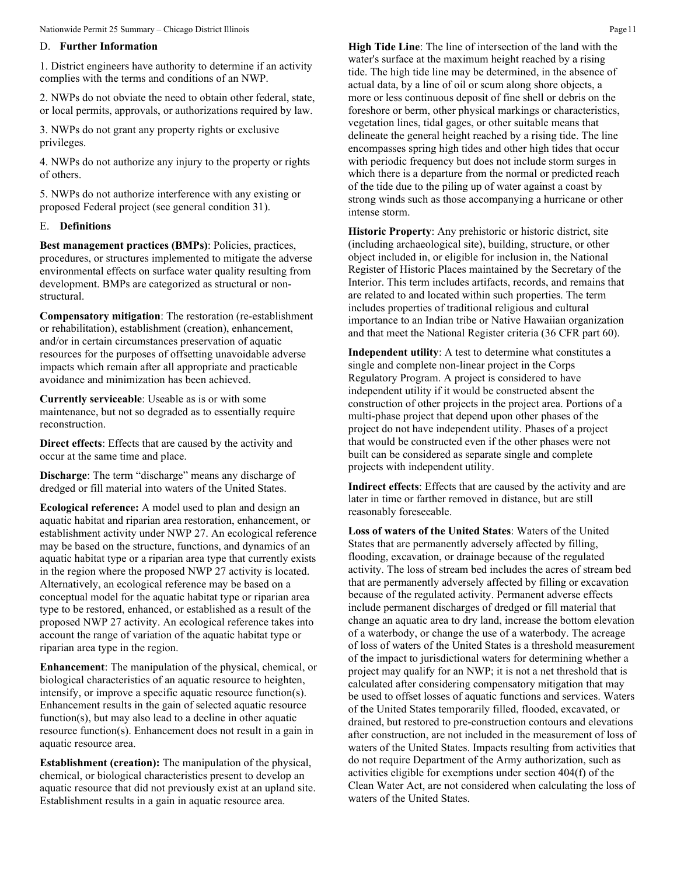### D. **Further Information**

1. District engineers have authority to determine if an activity complies with the terms and conditions of an NWP.

2. NWPs do not obviate the need to obtain other federal, state, or local permits, approvals, or authorizations required by law.

3. NWPs do not grant any property rights or exclusive privileges.

4. NWPs do not authorize any injury to the property or rights of others.

5. NWPs do not authorize interference with any existing or proposed Federal project (see general condition 31).

#### E. **Definitions**

**Best management practices (BMPs)**: Policies, practices, procedures, or structures implemented to mitigate the adverse environmental effects on surface water quality resulting from development. BMPs are categorized as structural or nonstructural.

**Compensatory mitigation**: The restoration (re-establishment or rehabilitation), establishment (creation), enhancement, and/or in certain circumstances preservation of aquatic resources for the purposes of offsetting unavoidable adverse impacts which remain after all appropriate and practicable avoidance and minimization has been achieved.

**Currently serviceable**: Useable as is or with some maintenance, but not so degraded as to essentially require reconstruction.

**Direct effects**: Effects that are caused by the activity and occur at the same time and place.

**Discharge**: The term "discharge" means any discharge of dredged or fill material into waters of the United States.

**Ecological reference:** A model used to plan and design an aquatic habitat and riparian area restoration, enhancement, or establishment activity under NWP 27. An ecological reference may be based on the structure, functions, and dynamics of an aquatic habitat type or a riparian area type that currently exists in the region where the proposed NWP 27 activity is located. Alternatively, an ecological reference may be based on a conceptual model for the aquatic habitat type or riparian area type to be restored, enhanced, or established as a result of the proposed NWP 27 activity. An ecological reference takes into account the range of variation of the aquatic habitat type or riparian area type in the region.

**Enhancement**: The manipulation of the physical, chemical, or biological characteristics of an aquatic resource to heighten, intensify, or improve a specific aquatic resource function(s). Enhancement results in the gain of selected aquatic resource function(s), but may also lead to a decline in other aquatic resource function(s). Enhancement does not result in a gain in aquatic resource area.

**Establishment (creation):** The manipulation of the physical, chemical, or biological characteristics present to develop an aquatic resource that did not previously exist at an upland site. Establishment results in a gain in aquatic resource area.

**High Tide Line**: The line of intersection of the land with the water's surface at the maximum height reached by a rising tide. The high tide line may be determined, in the absence of actual data, by a line of oil or scum along shore objects, a more or less continuous deposit of fine shell or debris on the foreshore or berm, other physical markings or characteristics, vegetation lines, tidal gages, or other suitable means that delineate the general height reached by a rising tide. The line encompasses spring high tides and other high tides that occur with periodic frequency but does not include storm surges in which there is a departure from the normal or predicted reach of the tide due to the piling up of water against a coast by strong winds such as those accompanying a hurricane or other intense storm.

**Historic Property**: Any prehistoric or historic district, site (including archaeological site), building, structure, or other object included in, or eligible for inclusion in, the National Register of Historic Places maintained by the Secretary of the Interior. This term includes artifacts, records, and remains that are related to and located within such properties. The term includes properties of traditional religious and cultural importance to an Indian tribe or Native Hawaiian organization and that meet the National Register criteria (36 CFR part 60).

**Independent utility**: A test to determine what constitutes a single and complete non-linear project in the Corps Regulatory Program. A project is considered to have independent utility if it would be constructed absent the construction of other projects in the project area. Portions of a multi-phase project that depend upon other phases of the project do not have independent utility. Phases of a project that would be constructed even if the other phases were not built can be considered as separate single and complete projects with independent utility.

**Indirect effects**: Effects that are caused by the activity and are later in time or farther removed in distance, but are still reasonably foreseeable.

**Loss of waters of the United States**: Waters of the United States that are permanently adversely affected by filling, flooding, excavation, or drainage because of the regulated activity. The loss of stream bed includes the acres of stream bed that are permanently adversely affected by filling or excavation because of the regulated activity. Permanent adverse effects include permanent discharges of dredged or fill material that change an aquatic area to dry land, increase the bottom elevation of a waterbody, or change the use of a waterbody. The acreage of loss of waters of the United States is a threshold measurement of the impact to jurisdictional waters for determining whether a project may qualify for an NWP; it is not a net threshold that is calculated after considering compensatory mitigation that may be used to offset losses of aquatic functions and services. Waters of the United States temporarily filled, flooded, excavated, or drained, but restored to pre-construction contours and elevations after construction, are not included in the measurement of loss of waters of the United States. Impacts resulting from activities that do not require Department of the Army authorization, such as activities eligible for exemptions under section 404(f) of the Clean Water Act, are not considered when calculating the loss of waters of the United States.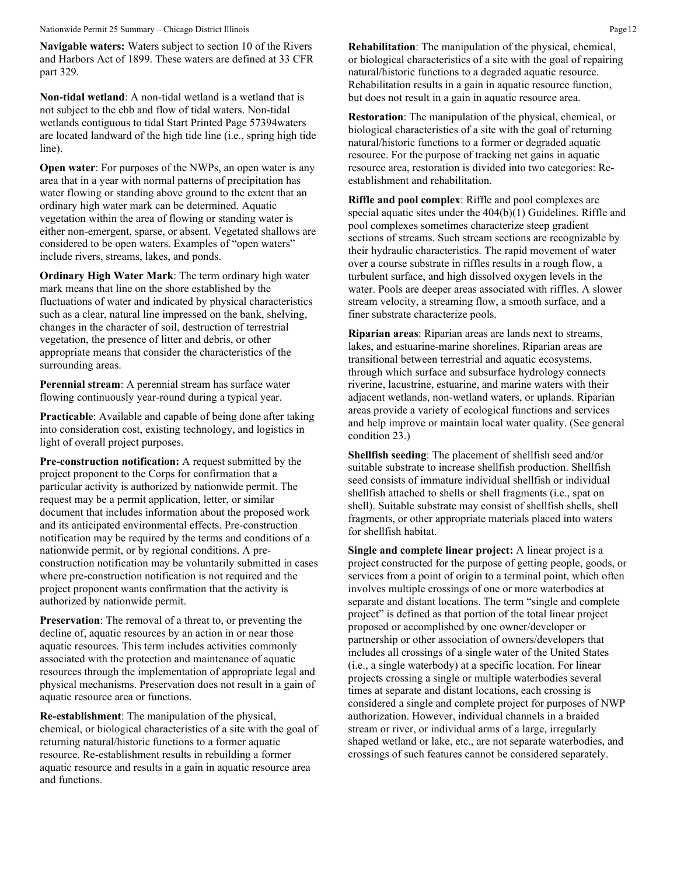Nationwide Permit 25 Summary – Chicago District Illinois Page 12

**Navigable waters:** Waters subject to section 10 of the Rivers and Harbors Act of 1899. These waters are defined at 33 CFR part 329.

**Non-tidal wetland**: A non-tidal wetland is a wetland that is not subject to the ebb and flow of tidal waters. Non-tidal wetlands contiguous to tidal Start Printed Page 57394waters are located landward of the high tide line (i.e., spring high tide line).

**Open water:** For purposes of the NWPs, an open water is any area that in a year with normal patterns of precipitation has water flowing or standing above ground to the extent that an ordinary high water mark can be determined. Aquatic vegetation within the area of flowing or standing water is either non-emergent, sparse, or absent. Vegetated shallows are considered to be open waters. Examples of "open waters" include rivers, streams, lakes, and ponds.

**Ordinary High Water Mark**: The term ordinary high water mark means that line on the shore established by the fluctuations of water and indicated by physical characteristics such as a clear, natural line impressed on the bank, shelving, changes in the character of soil, destruction of terrestrial vegetation, the presence of litter and debris, or other appropriate means that consider the characteristics of the surrounding areas.

**Perennial stream**: A perennial stream has surface water flowing continuously year-round during a typical year.

**Practicable:** Available and capable of being done after taking into consideration cost, existing technology, and logistics in light of overall project purposes.

**Pre-construction notification:** A request submitted by the project proponent to the Corps for confirmation that a particular activity is authorized by nationwide permit. The request may be a permit application, letter, or similar document that includes information about the proposed work and its anticipated environmental effects. Pre-construction notification may be required by the terms and conditions of a nationwide permit, or by regional conditions. A preconstruction notification may be voluntarily submitted in cases where pre-construction notification is not required and the project proponent wants confirmation that the activity is authorized by nationwide permit.

**Preservation**: The removal of a threat to, or preventing the decline of, aquatic resources by an action in or near those aquatic resources. This term includes activities commonly associated with the protection and maintenance of aquatic resources through the implementation of appropriate legal and physical mechanisms. Preservation does not result in a gain of aquatic resource area or functions.

**Re-establishment**: The manipulation of the physical, chemical, or biological characteristics of a site with the goal of returning natural/historic functions to a former aquatic resource. Re-establishment results in rebuilding a former aquatic resource and results in a gain in aquatic resource area and functions.

**Rehabilitation**: The manipulation of the physical, chemical, or biological characteristics of a site with the goal of repairing natural/historic functions to a degraded aquatic resource. Rehabilitation results in a gain in aquatic resource function, but does not result in a gain in aquatic resource area.

**Restoration**: The manipulation of the physical, chemical, or biological characteristics of a site with the goal of returning natural/historic functions to a former or degraded aquatic resource. For the purpose of tracking net gains in aquatic resource area, restoration is divided into two categories: Reestablishment and rehabilitation.

**Riffle and pool complex**: Riffle and pool complexes are special aquatic sites under the 404(b)(1) Guidelines. Riffle and pool complexes sometimes characterize steep gradient sections of streams. Such stream sections are recognizable by their hydraulic characteristics. The rapid movement of water over a course substrate in riffles results in a rough flow, a turbulent surface, and high dissolved oxygen levels in the water. Pools are deeper areas associated with riffles. A slower stream velocity, a streaming flow, a smooth surface, and a finer substrate characterize pools.

**Riparian areas**: Riparian areas are lands next to streams, lakes, and estuarine-marine shorelines. Riparian areas are transitional between terrestrial and aquatic ecosystems, through which surface and subsurface hydrology connects riverine, lacustrine, estuarine, and marine waters with their adjacent wetlands, non-wetland waters, or uplands. Riparian areas provide a variety of ecological functions and services and help improve or maintain local water quality. (See general condition 23.)

**Shellfish seeding**: The placement of shellfish seed and/or suitable substrate to increase shellfish production. Shellfish seed consists of immature individual shellfish or individual shellfish attached to shells or shell fragments (i.e., spat on shell). Suitable substrate may consist of shellfish shells, shell fragments, or other appropriate materials placed into waters for shellfish habitat.

**Single and complete linear project:** A linear project is a project constructed for the purpose of getting people, goods, or services from a point of origin to a terminal point, which often involves multiple crossings of one or more waterbodies at separate and distant locations. The term "single and complete project" is defined as that portion of the total linear project proposed or accomplished by one owner/developer or partnership or other association of owners/developers that includes all crossings of a single water of the United States (i.e., a single waterbody) at a specific location. For linear projects crossing a single or multiple waterbodies several times at separate and distant locations, each crossing is considered a single and complete project for purposes of NWP authorization. However, individual channels in a braided stream or river, or individual arms of a large, irregularly shaped wetland or lake, etc., are not separate waterbodies, and crossings of such features cannot be considered separately.